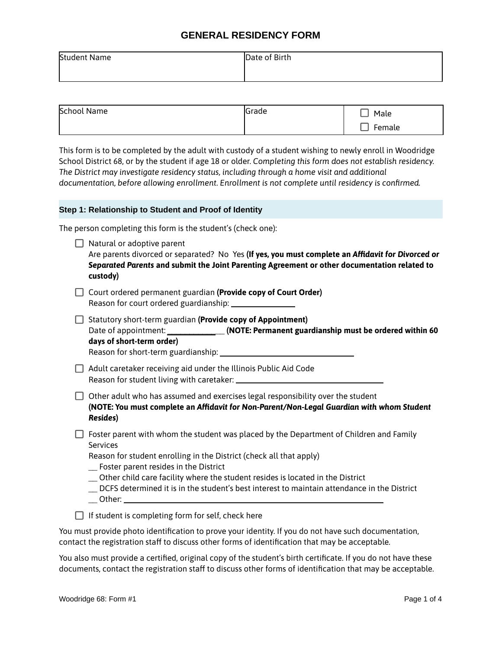| <b>Student Name</b> | Date of Birth |
|---------------------|---------------|
|                     |               |

| <b>School Name</b> | $\sim$<br>ìrade | Male   |
|--------------------|-----------------|--------|
|                    |                 | Female |

This form is to be completed by the adult with custody of a student wishing to newly enroll in Woodridge School District 68, or by the student if age 18 or older. *Completing this form does not establish residency. The District may investigate residency status, including through a home visit and additional documentation, before allowing enrollment. Enrollment is not complete until residency is confirmed.*

#### **Step 1: Relationship to Student and Proof of Identity**

The person completing this form is the student's (check one):

 $\Box$  Natural or adoptive parent

Are parents divorced or separated? No Yes **(If yes, you must complete an** *Affidavit for Divorced or Separated Parents* **and submit the Joint Parenting Agreement or other documentation related to custody)**

- Court ordered permanent guardian **(Provide copy of Court Order)** Reason for court ordered guardianship:
- Statutory short-term guardian **(Provide copy of Appointment)** Date of appointment: \_\_\_\_\_\_\_\_\_\_\_\_\_ **(NOTE: Permanent guardianship must be ordered within 60 days of short-term order)** Reason for short-term guardianship:
- $\Box$  Adult caretaker receiving aid under the Illinois Public Aid Code Reason for student living with caretaker:
- $\Box$  Other adult who has assumed and exercises legal responsibility over the student **(NOTE: You must complete an** *Affidavit for Non-Parent/Non-Legal Guardian with whom Student Resides***)**
- $\Box$  Foster parent with whom the student was placed by the Department of Children and Family Services

Reason for student enrolling in the District (check all that apply)

- \_\_ Foster parent resides in the District
- \_\_ Other child care facility where the student resides is located in the District
- \_\_ DCFS determined it is in the student's best interest to maintain attendance in the District
- \_\_ Other:
- $\Box$  If student is completing form for self, check here

You must provide photo identification to prove your identity. If you do not have such documentation, contact the registration staff to discuss other forms of identification that may be acceptable.

You also must provide a certified, original copy of the student's birth certificate. If you do not have these documents, contact the registration staff to discuss other forms of identification that may be acceptable.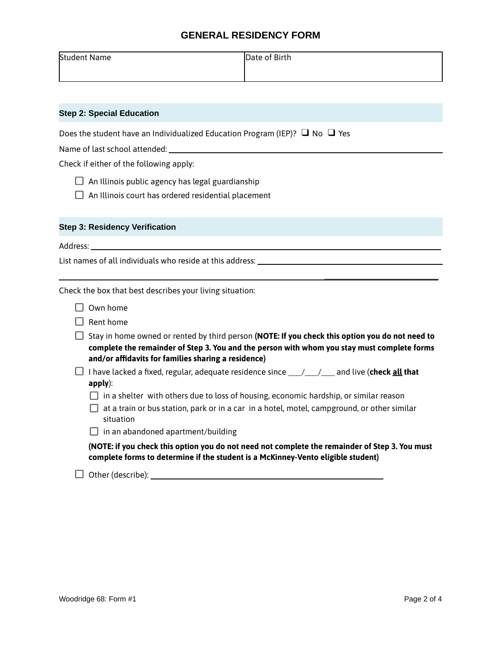| <b>Student Name</b> | Date of Birth |  |
|---------------------|---------------|--|
|                     |               |  |
|                     |               |  |

## **Step 2: Special Education**

Does the student have an Individualized Education Program (IEP)?  $\Box$  No  $\Box$  Yes

Name of last school attended:

Check if either of the following apply:

- $\Box$  An Illinois public agency has legal guardianship
- $\Box$  An Illinois court has ordered residential placement

|  |  | <b>Step 3: Residency Verification</b> |
|--|--|---------------------------------------|
|  |  |                                       |

Address: \_\_\_\_\_\_\_\_\_\_\_\_\_

List names of all individuals who reside at this address: \_\_\_\_\_\_\_\_\_\_\_\_\_\_\_\_\_\_\_\_\_\_\_

Check the box that best describes your living situation:

|  | Rent home |
|--|-----------|
|--|-----------|

- Stay in home owned or rented by third person **(NOTE: If you check this option you do not need to complete the remainder of Step 3. You and the person with whom you stay must complete forms and/or affidavits for families sharing a residence)**
- I have lacked a fixed, regular, adequate residence since \_\_\_/\_\_\_/\_\_\_ and live (**check all that apply**):
	- $\Box$  in a shelter with others due to loss of housing, economic hardship, or similar reason
	- $\Box$  at a train or bus station, park or in a car in a hotel, motel, campground, or other similar situation
	- $\Box$  in an abandoned apartment/building

(NOTE: if you check this option you do not need not complete the remainder of Step 3. You must **complete forms to determine if the student is a McKinney-Vento eligible student)**

 $\Box$  Other (describe):

 $\_$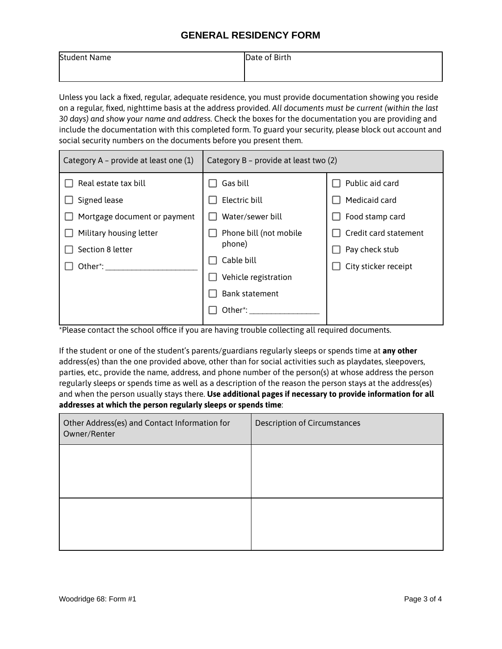| <b>Student Name</b> | Date of Birth |  |
|---------------------|---------------|--|
|                     |               |  |
|                     |               |  |
|                     |               |  |

Unless you lack a fixed, regular, adequate residence, you must provide documentation showing you reside on a regular, fixed, nighttime basis at the address provided. *All documents must be current (within the last 30 days) and show your name and address.* Check the boxes for the documentation you are providing and include the documentation with this completed form. To guard your security, please block out account and social security numbers on the documents before you present them.

| Category A - provide at least one (1)                                                                                          | Category B - provide at least two (2)                                                                                                                       |                                                                                                                        |
|--------------------------------------------------------------------------------------------------------------------------------|-------------------------------------------------------------------------------------------------------------------------------------------------------------|------------------------------------------------------------------------------------------------------------------------|
| Real estate tax bill<br>Signed lease<br>Mortgage document or payment<br>Military housing letter<br>Section 8 letter<br>Other*: | Gas bill<br>Electric bill<br>Water/sewer bill<br>Phone bill (not mobile<br>phone)<br>Cable bill<br>Vehicle registration<br><b>Bank statement</b><br>Other*: | Public aid card<br>Medicaid card<br>Food stamp card<br>Credit card statement<br>Pay check stub<br>City sticker receipt |

\*Please contact the school office if you are having trouble collecting all required documents.

If the student or one of the student's parents/guardians regularly sleeps or spends time at **any other** address(es) than the one provided above, other than for social activities such as playdates, sleepovers, parties, etc., provide the name, address, and phone number of the person(s) at whose address the person regularly sleeps or spends time as well as a description of the reason the person stays at the address(es) and when the person usually stays there. **Use additional pages if necessary to provide information for all addresses at which the person regularly sleeps or spends time**:

| Other Address(es) and Contact Information for<br>Owner/Renter | <b>Description of Circumstances</b> |
|---------------------------------------------------------------|-------------------------------------|
|                                                               |                                     |
|                                                               |                                     |
|                                                               |                                     |
|                                                               |                                     |